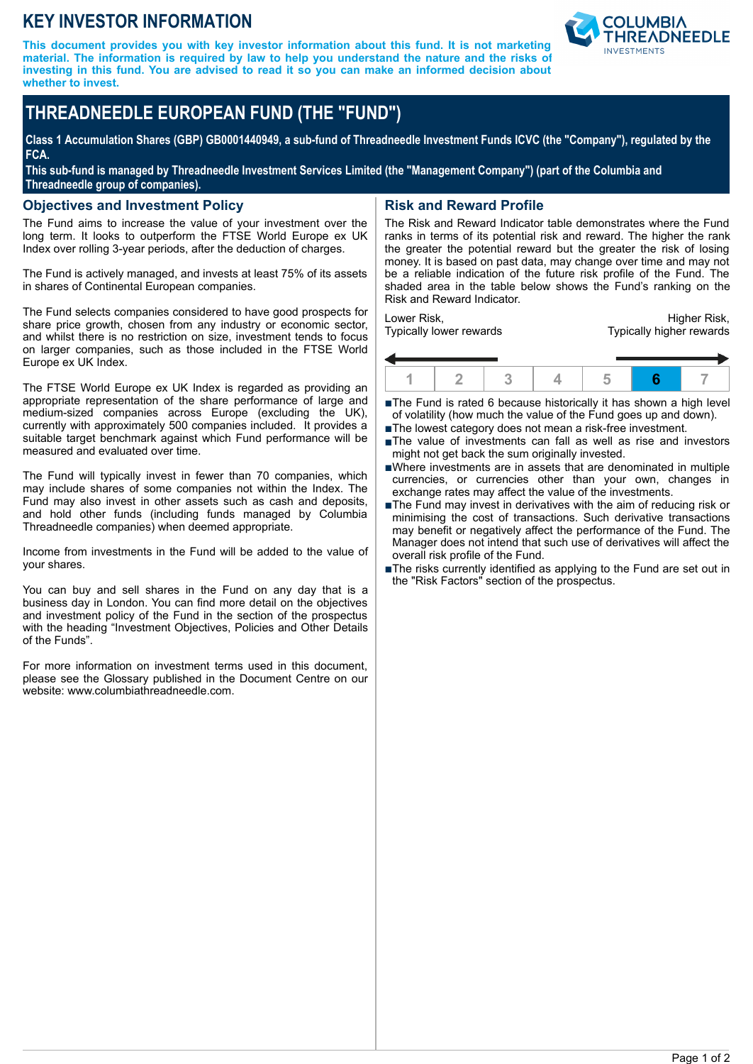# **KEY INVESTOR INFORMATION**

**This document provides you with key investor information about this fund. It is not marketing material. The information is required by law to help you understand the nature and the risks of investing in this fund. You are advised to read it so you can make an informed decision about whether to invest.**



# **THREADNEEDLE EUROPEAN FUND (THE "FUND")**

**Class 1 Accumulation Shares (GBP) GB0001440949, a sub-fund of Threadneedle Investment Funds ICVC (the "Company"), regulated by the FCA.**

**This sub-fund is managed by Threadneedle Investment Services Limited (the "Management Company") (part of the Columbia and Threadneedle group of companies).**

#### **Objectives and Investment Policy**

The Fund aims to increase the value of your investment over the long term. It looks to outperform the FTSE World Europe ex UK Index over rolling 3-year periods, after the deduction of charges.

The Fund is actively managed, and invests at least 75% of its assets in shares of Continental European companies.

The Fund selects companies considered to have good prospects for share price growth, chosen from any industry or economic sector, and whilst there is no restriction on size, investment tends to focus on larger companies, such as those included in the FTSE World Europe ex UK Index.

The FTSE World Europe ex UK Index is regarded as providing an appropriate representation of the share performance of large and medium-sized companies across Europe (excluding the UK), currently with approximately 500 companies included. It provides a suitable target benchmark against which Fund performance will be measured and evaluated over time.

The Fund will typically invest in fewer than 70 companies, which may include shares of some companies not within the Index. The Fund may also invest in other assets such as cash and deposits, and hold other funds (including funds managed by Columbia Threadneedle companies) when deemed appropriate.

Income from investments in the Fund will be added to the value of your shares.

You can buy and sell shares in the Fund on any day that is a business day in London. You can find more detail on the objectives and investment policy of the Fund in the section of the prospectus with the heading "Investment Objectives, Policies and Other Details of the Funds".

For more information on investment terms used in this document, please see the Glossary published in the Document Centre on our website: www.columbiathreadneedle.com.

## **Risk and Reward Profile**

The Risk and Reward Indicator table demonstrates where the Fund ranks in terms of its potential risk and reward. The higher the rank the greater the potential reward but the greater the risk of losing money. It is based on past data, may change over time and may not be a reliable indication of the future risk profile of the Fund. The shaded area in the table below shows the Fund's ranking on the Risk and Reward Indicator.

Lower Risk, Typically lower rewards

Higher Risk, Typically higher rewards



■The Fund is rated 6 because historically it has shown a high level of volatility (how much the value of the Fund goes up and down).

- ■The lowest category does not mean a risk-free investment.
- nThe value of investments can fall as well as rise and investors might not get back the sum originally invested.
- nWhere investments are in assets that are denominated in multiple currencies, or currencies other than your own, changes in exchange rates may affect the value of the investments.
- ■The Fund may invest in derivatives with the aim of reducing risk or minimising the cost of transactions. Such derivative transactions may benefit or negatively affect the performance of the Fund. The Manager does not intend that such use of derivatives will affect the overall risk profile of the Fund.
- The risks currently identified as applying to the Fund are set out in the "Risk Factors" section of the prospectus.